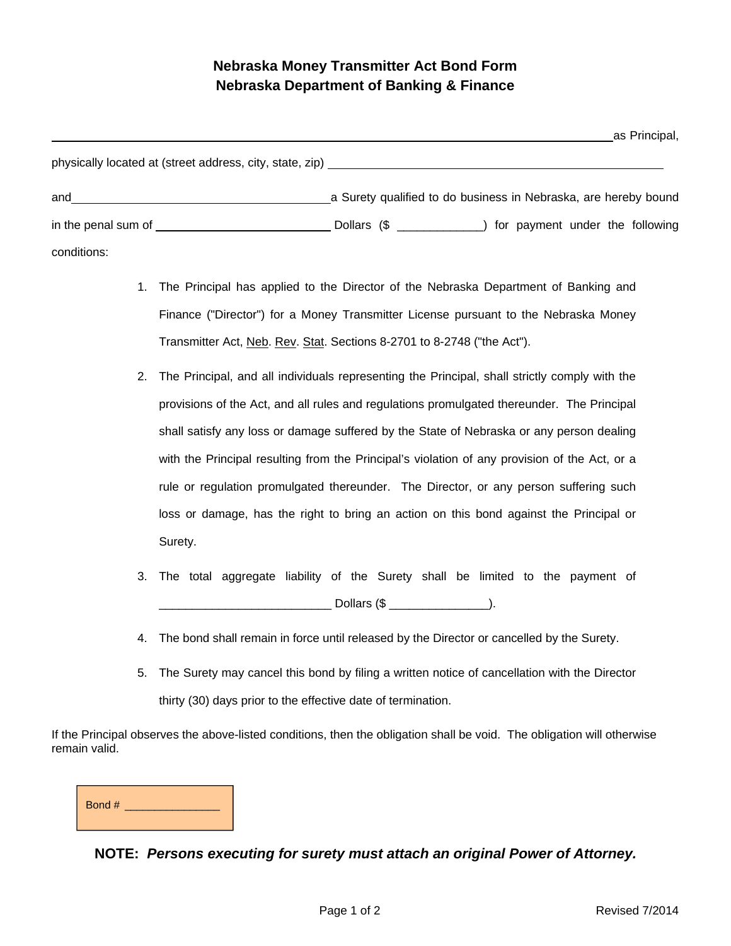## **Nebraska Money Transmitter Act Bond Form Nebraska Department of Banking & Finance**

|                                                          |                                                                 | as Principal, |
|----------------------------------------------------------|-----------------------------------------------------------------|---------------|
| physically located at (street address, city, state, zip) |                                                                 |               |
| and                                                      | a Surety qualified to do business in Nebraska, are hereby bound |               |
|                                                          |                                                                 |               |
| conditions:                                              |                                                                 |               |

- 1. The Principal has applied to the Director of the Nebraska Department of Banking and Finance ("Director") for a Money Transmitter License pursuant to the Nebraska Money Transmitter Act, Neb. Rev. Stat. Sections 8-2701 to 8-2748 ("the Act").
- 2. The Principal, and all individuals representing the Principal, shall strictly comply with the provisions of the Act, and all rules and regulations promulgated thereunder. The Principal shall satisfy any loss or damage suffered by the State of Nebraska or any person dealing with the Principal resulting from the Principal's violation of any provision of the Act, or a rule or regulation promulgated thereunder. The Director, or any person suffering such loss or damage, has the right to bring an action on this bond against the Principal or Surety.
- 3. The total aggregate liability of the Surety shall be limited to the payment of  $\blacksquare$  Dollars (\$  $\blacksquare$ ).
- 4. The bond shall remain in force until released by the Director or cancelled by the Surety.
- 5. The Surety may cancel this bond by filing a written notice of cancellation with the Director thirty (30) days prior to the effective date of termination.

If the Principal observes the above-listed conditions, then the obligation shall be void. The obligation will otherwise remain valid.

| Bond # |  |
|--------|--|
|        |  |

## **NOTE:** *Persons executing for surety must attach an original Power of Attorney.*